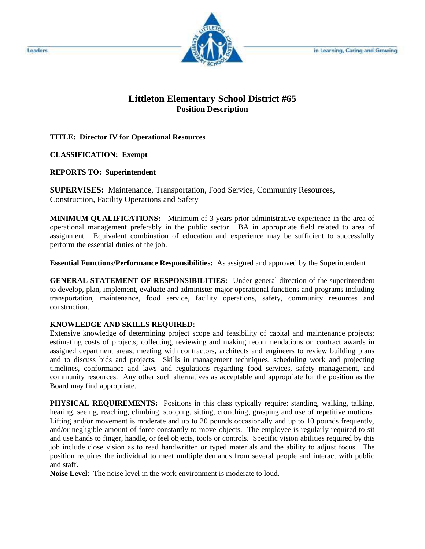

## **Littleton Elementary School District #65 Position Description**

**TITLE: Director IV for Operational Resources** 

**CLASSIFICATION: Exempt** 

**REPORTS TO: Superintendent** 

**SUPERVISES:** Maintenance, Transportation, Food Service, Community Resources, Construction, Facility Operations and Safety

**MINIMUM QUALIFICATIONS:** Minimum of 3 years prior administrative experience in the area of operational management preferably in the public sector. BA in appropriate field related to area of assignment. Equivalent combination of education and experience may be sufficient to successfully perform the essential duties of the job.

**Essential Functions/Performance Responsibilities:** As assigned and approved by the Superintendent

**GENERAL STATEMENT OF RESPONSIBILITIES:** Under general direction of the superintendent to develop, plan, implement, evaluate and administer major operational functions and programs including transportation, maintenance, food service, facility operations, safety, community resources and construction.

## **KNOWLEDGE AND SKILLS REQUIRED:**

Extensive knowledge of determining project scope and feasibility of capital and maintenance projects; estimating costs of projects; collecting, reviewing and making recommendations on contract awards in assigned department areas; meeting with contractors, architects and engineers to review building plans and to discuss bids and projects. Skills in management techniques, scheduling work and projecting timelines, conformance and laws and regulations regarding food services, safety management, and community resources. Any other such alternatives as acceptable and appropriate for the position as the Board may find appropriate.

**PHYSICAL REQUIREMENTS:** Positions in this class typically require: standing, walking, talking, hearing, seeing, reaching, climbing, stooping, sitting, crouching, grasping and use of repetitive motions. Lifting and/or movement is moderate and up to 20 pounds occasionally and up to 10 pounds frequently, and/or negligible amount of force constantly to move objects. The employee is regularly required to sit and use hands to finger, handle, or feel objects, tools or controls. Specific vision abilities required by this job include close vision as to read handwritten or typed materials and the ability to adjust focus. The position requires the individual to meet multiple demands from several people and interact with public and staff.

**Noise Level**: The noise level in the work environment is moderate to loud.

Leaders